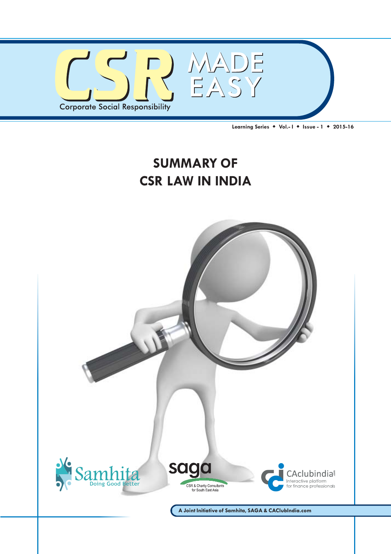

**Learning Series Vol.- I Issue - 1 2015-16**

# **SUMMARY OF CSR LAW IN INDIA**

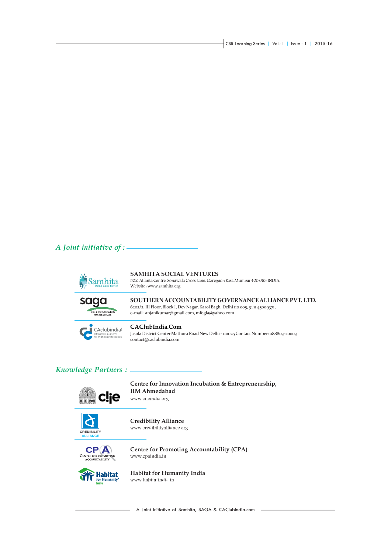CSR Learning Series | Vol.- I | Issue - 1 | 2015-16

#### *A Joint initiative of :*



#### **SAMHITA SOCIAL VENTURES**

502, Atlanta Centre, Sonawala Cross Lane, Goregaon East, Mumbai 400 063 INDIA, Website : www.samhita.org



**SOUTHERN ACCOUNTABILITY GOVERNANCE ALLIANCE PVT. LTD.** 6202/2, III Floor, Block I, Dev Nagar, Karol Bagh, Delhi 110 005, 91 11 45009371, e-mail : anjanikumar@gmail.com, mfogla@yahoo.com



#### **CAClubIndia.Com**

Jasola District Center Mathura Road New Delhi - 110025 Contact Number: 088803-20003 contact@caclubindia.com

#### *Knowledge Partners :*



**Centre for Innovation Incubation & Entrepreneurship, IIM Ahmedabad** www.ciieindia.org



**Credibility Alliance** www.credibilityalliance.org



**Centre for Promoting Accountability (CPA)** www.cpaindia.in



**Habitat for Humanity India** www.habitatindia.in

- A Joint Initiative of Samhita, SAGA & CAClubIndia.com -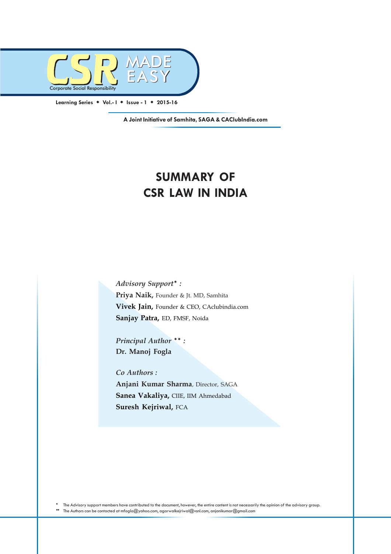

**A Joint Initiative of Samhita, SAGA & CAClubIndia.com**

# **SUMMARY OF CSR LAW IN INDIA**

*Advisory Support :* **Priya Naik,** Founder & Jt. MD, Samhita **Vivek Jain,** Founder & CEO, CAclubindia.com **Sanjay Patra,** ED, FMSF, Noida

*Principal Author* \*\*: **Dr. Manoj Fogla**

*Co Authors :* **Anjani Kumar Sharma**, Director, SAGA **Sanea Vakaliya,** CIIE, IIM Ahmedabad **Suresh Kejriwal,** FCA

 The Advisory support members have contributed to the document, however, the entire content is not necessarily the opinion of the advisory group. The Authors can be contacted at mfogla@yahoo.com, agarwalkejriwal@vsnl.com, anjanikumar@gmail.com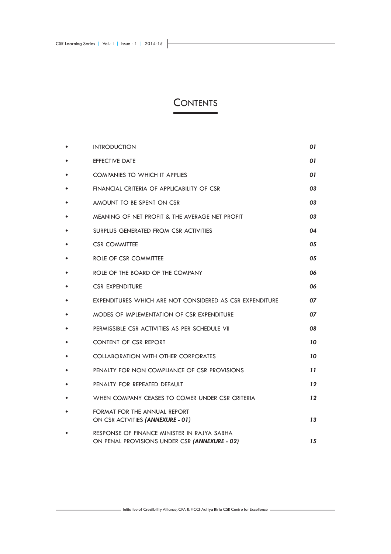# **CONTENTS**

| <b>INTRODUCTION</b>                                                                          | 01      |
|----------------------------------------------------------------------------------------------|---------|
| <b>EFFECTIVE DATE</b>                                                                        | 01      |
| <b>COMPANIES TO WHICH IT APPLIES</b>                                                         | 01      |
| FINANCIAL CRITERIA OF APPLICABILITY OF CSR                                                   | 03      |
| AMOUNT TO BE SPENT ON CSR                                                                    | 03      |
| MEANING OF NET PROFIT & THE AVERAGE NET PROFIT                                               | 03      |
| SURPLUS GENERATED FROM CSR ACTIVITIES                                                        | 04      |
| <b>CSR COMMITTEE</b>                                                                         | 05      |
| ROLE OF CSR COMMITTEE                                                                        | 05      |
| ROLE OF THE BOARD OF THE COMPANY                                                             | 06      |
| <b>CSR EXPENDITURE</b>                                                                       | 06      |
| EXPENDITURES WHICH ARE NOT CONSIDERED AS CSR EXPENDITURE                                     | 07      |
| MODES OF IMPLEMENTATION OF CSR EXPENDITURE                                                   | 07      |
| PERMISSIBLE CSR ACTIVITIES AS PER SCHEDULE VII                                               | 08      |
| <b>CONTENT OF CSR REPORT</b>                                                                 | 10      |
| <b>COLLABORATION WITH OTHER CORPORATES</b>                                                   | 10      |
| PENALTY FOR NON COMPLIANCE OF CSR PROVISIONS                                                 | 11      |
| PENALTY FOR REPEATED DEFAULT                                                                 | $12 \,$ |
| WHEN COMPANY CEASES TO COMER UNDER CSR CRITERIA                                              | 12      |
| FORMAT FOR THE ANNUAL REPORT<br>ON CSR ACTVITIES (ANNEXURE - 01)                             | 13      |
| RESPONSE OF FINANCE MINISTER IN RAJYA SABHA<br>ON PENAL PROVISIONS UNDER CSR (ANNEXURE - 02) | 15      |

Initiative of Credibility Alliance, CPA & FICCI-Aditya Birla CSR Centre for Excellence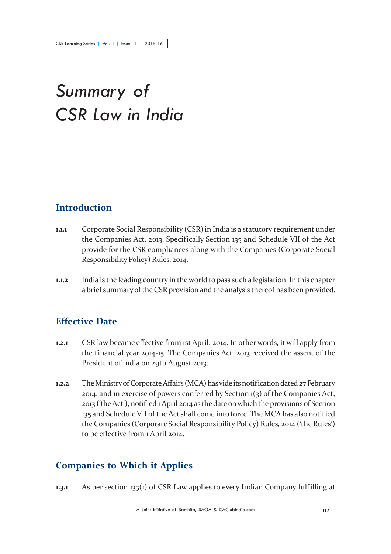# *Summary of CSR Law in India*

# **Introduction**

- **1.1.1** Corporate Social Responsibility (CSR) in India is a statutory requirement under the Companies Act, 2013. Specif ically Section 135 and Schedule VII of the Act provide for the CSR compliances along with the Companies (Corporate Social Responsibility Policy) Rules, 2014.
- **1.1.2** India is the leading country in the world to pass such a legislation. In this chapter a brief summary of the CSR provision and the analysis thereof has been provided.

# **Effective Date**

- **1.2.1** CSR law became effective from 1st April, 2014. In other words, it will apply from the financial year 2014-15. The Companies Act, 2013 received the assent of the President of India on 29th August 2013.
- **1.2.2** The Ministry of Corporate Affairs (MCA) has vide its notification dated 27 February 2014, and in exercise of powers conferred by Section 1(3) of the Companies Act, 2013 ('the Act'), notified 1 April 2014 as the date on which the provisions of Section 135 and Schedule VII of the Act shall come into force. The MCA has also notified the Companies (Corporate Social Responsibility Policy) Rules, 2014 ('the Rules') to be effective from 1 April 2014.

# **Companies to Which it Applies**

**1.3.1** As per section 135(1) of CSR Law applies to every Indian Company fulfilling at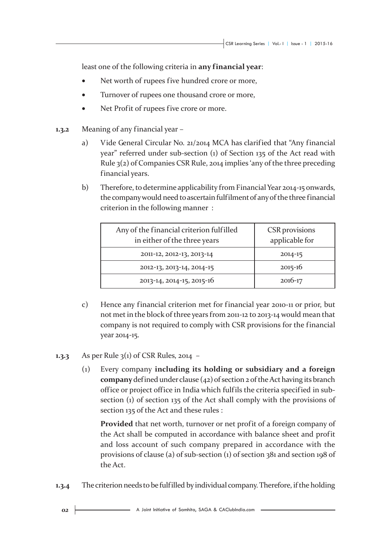least one of the following criteria in **any financial year**:

- Net worth of rupees five hundred crore or more,
- Turnover of rupees one thousand crore or more,
- Net Profit of rupees five crore or more.
- **1.3.2** Meaning of any financial year
	- a) Vide General Circular No. 21/2014 MCA has clarified that "Any financial year" referred under sub-section (1) of Section 135 of the Act read with Rule 3(2) of Companies CSR Rule, 2014 implies 'any of the three preceding financial years.
	- b) Therefore, to determine applicability from Financial Year 2014-15 onwards, the company would need to ascertain fulfilment of any of the three financial criterion in the following manner :

| Any of the financial criterion fulfilled<br>in either of the three years | <b>CSR</b> provisions<br>applicable for |
|--------------------------------------------------------------------------|-----------------------------------------|
| 2011-12, 2012-13, 2013-14                                                | $2014 - 15$                             |
| 2012-13, 2013-14, 2014-15                                                | $2015 - 16$                             |
| 2013-14, 2014-15, 2015-16                                                | $2016 - 17$                             |

- c) Hence any financial criterion met for financial year 2010-11 or prior, but not met in the block of three years from 2011-12 to 2013-14 would mean that company is not required to comply with CSR provisions for the financial year 2014-15.
- **1.3.3** As per Rule 3(1) of CSR Rules, 2014
	- (1) Every company **including its holding or subsidiary and a foreign company** defined under clause (42) of section 2 of the Act having its branch office or project office in India which fulfils the criteria specified in subsection (1) of section 135 of the Act shall comply with the provisions of section 135 of the Act and these rules :

**Provided** that net worth, turnover or net profit of a foreign company of the Act shall be computed in accordance with balance sheet and profit and loss account of such company prepared in accordance with the provisions of clause (a) of sub-section (1) of section 381 and section 198 of the Act.

**1.3.4** The criterion needs to be fulfilled by individual company. Therefore, if the holding

 $02<sup>1</sup>$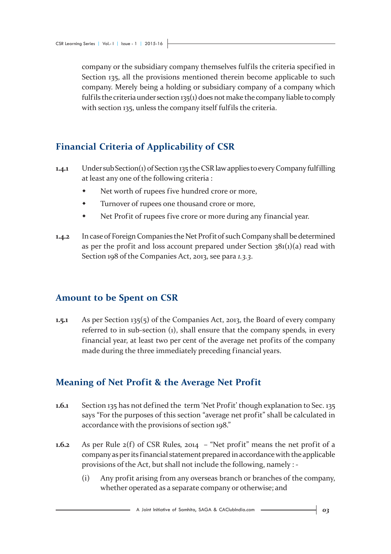company or the subsidiary company themselves fulf ils the criteria specified in Section 135, all the provisions mentioned therein become applicable to such company. Merely being a holding or subsidiary company of a company which fulfils the criteria under section 135(1) does not make the company liable to comply with section 135, unless the company itself fulf ils the criteria.

# **Financial Criteria of Applicability of CSR**

- **1.4.1** Under sub Section(1) of Section 135 the CSR law applies to every Company fulfilling at least any one of the following criteria :
	- Net worth of rupees five hundred crore or more,
	- Turnover of rupees one thousand crore or more,
	- Net Profit of rupees five crore or more during any financial year.
- **1.4.2** In case of Foreign Companies the Net Profit of such Company shall be determined as per the profit and loss account prepared under Section  $381(1)(a)$  read with Section 198 of the Companies Act, 2013, see para *1.3.3*.

#### **Amount to be Spent on CSR**

**1.5.1** As per Section 135(5) of the Companies Act, 2013, the Board of every company referred to in sub-section (1), shall ensure that the company spends, in every financial year, at least two per cent of the average net profits of the company made during the three immediately preceding financial years.

# **Meaning of Net Profit & the Average Net Profit**

- **1.6.1** Section 135 has not defined the term 'Net Profit' though explanation to Sec. 135 says "For the purposes of this section "average net profit" shall be calculated in accordance with the provisions of section 198."
- **1.6.2** As per Rule 2(f) of CSR Rules, 2014 "Net profit" means the net profit of a company as per its financial statement prepared in accordance with the applicable provisions of the Act, but shall not include the following, namely : -
	- (i) Any profit arising from any overseas branch or branches of the company, whether operated as a separate company or otherwise; and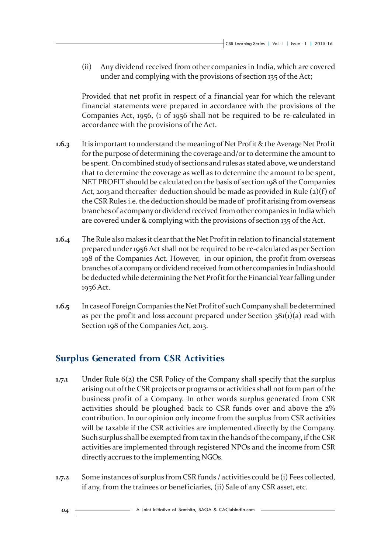(ii) Any dividend received from other companies in India, which are covered under and complying with the provisions of section 135 of the Act;

Provided that net profit in respect of a financial year for which the relevant financial statements were prepared in accordance with the provisions of the Companies Act, 1956, (1 of 1956 shall not be required to be re-calculated in accordance with the provisions of the Act.

- **1.6.3** It is important to understand the meaning of Net Profit & the Average Net Profit for the purpose of determining the coverage and/or to determine the amount to be spent. On combined study of sections and rules as stated above, we understand that to determine the coverage as well as to determine the amount to be spent, NET PROFIT should be calculated on the basis of section 198 of the Companies Act, 2013 and thereafter deduction should be made as provided in Rule  $(2)(f)$  of the CSR Rules *i.e.* the deduction should be made of profit arising from overseas branches of a company or dividend received from other companies in India which are covered under & complying with the provisions of section 135 of the Act.
- **1.6.4** The Rule also makes it clear that the Net Profit in relation to financial statement prepared under 1956 Act shall not be required to be re-calculated as per Section 198 of the Companies Act. However, in our opinion, the profit from overseas branches of a company or dividend received from other companies in India should be deducted while determining the Net Profit for the Financial Year falling under 1956 Act.
- **1.6.5** In case of Foreign Companies the Net Profit of such Company shall be determined as per the profit and loss account prepared under Section  $381(1)(a)$  read with Section 198 of the Companies Act, 2013.

#### **Surplus Generated from CSR Activities**

- **1.7.1** Under Rule 6(2) the CSR Policy of the Company shall specify that the surplus arising out of the CSR projects or programs or activities shall not form part of the business profit of a Company. In other words surplus generated from CSR activities should be ploughed back to CSR funds over and above the 2% contribution. In our opinion only income from the surplus from CSR activities will be taxable if the CSR activities are implemented directly by the Company. Such surplus shall be exempted from tax in the hands of the company, if the CSR activities are implemented through registered NPOs and the income from CSR directly accrues to the implementing NGOs.
- **1.7.2** Some instances of surplus from CSR funds / activities could be (i) Fees collected, if any, from the trainees or beneficiaries, (ii) Sale of any CSR asset, etc.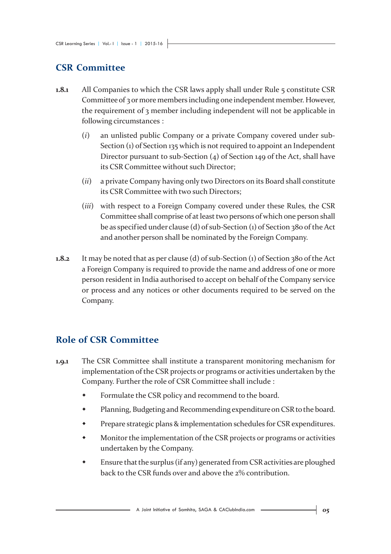# **CSR Committee**

- **1.8.1** All Companies to which the CSR laws apply shall under Rule 5 constitute CSR Committee of 3 or more members including one independent member. However, the requirement of 3 member including independent will not be applicable in following circumstances :
	- (*i*) an unlisted public Company or a private Company covered under sub-Section (1) of Section 135 which is not required to appoint an Independent Director pursuant to sub-Section (4) of Section 149 of the Act, shall have its CSR Committee without such Director;
	- (*ii*) a private Company having only two Directors on its Board shall constitute its CSR Committee with two such Directors;
	- (*iii*) with respect to a Foreign Company covered under these Rules, the CSR Committee shall comprise of at least two persons of which one person shall be as specified under clause (d) of sub-Section (1) of Section 380 of the Act and another person shall be nominated by the Foreign Company.
- **1.8.2** It may be noted that as per clause (d) of sub-Section (1) of Section 380 of the Act a Foreign Company is required to provide the name and address of one or more person resident in India authorised to accept on behalf of the Company service or process and any notices or other documents required to be served on the Company.

# **Role of CSR Committee**

- **1.9.1** The CSR Committee shall institute a transparent monitoring mechanism for implementation of the CSR projects or programs or activities undertaken by the Company. Further the role of CSR Committee shall include :
	- Formulate the CSR policy and recommend to the board.
	- Planning, Budgeting and Recommending expenditure on CSR to the board.
	- Prepare strategic plans & implementation schedules for CSR expenditures.
	- Monitor the implementation of the CSR projects or programs or activities undertaken by the Company.
	- Ensure that the surplus (if any) generated from CSR activities are ploughed back to the CSR funds over and above the 2% contribution.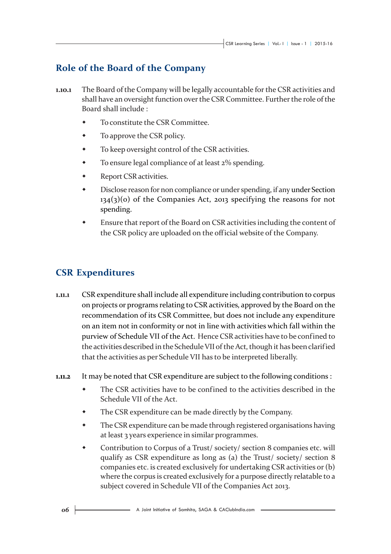## **Role of the Board of the Company**

- **1.10.1** The Board of the Company will be legally accountable for the CSR activities and shall have an oversight function over the CSR Committee. Further the role of the Board shall include :
	- To constitute the CSR Committee.
	- To approve the CSR policy.
	- To keep oversight control of the CSR activities.
	- To ensure legal compliance of at least 2% spending.
	- Report CSR activities.
	- Disclose reason for non compliance or under spending, if any under Section 134(3)(o) of the Companies Act, 2013 specifying the reasons for not spending.
	- Ensure that report of the Board on CSR activities including the content of the CSR policy are uploaded on the official website of the Company.

### **CSR Expenditures**

- **1.11.1** CSR expenditure shall include all expenditure including contribution to corpus on projects or programs relating to CSR activities, approved by the Board on the recommendation of its CSR Committee, but does not include any expenditure on an item not in conformity or not in line with activities which fall within the purview of Schedule VII of the Act. Hence CSR activities have to be confined to the activities described in the Schedule VII of the Act, though it has been clarified that the activities as per Schedule VII has to be interpreted liberally.
- **1.11.2** It may be noted that CSR expenditure are subject to the following conditions :
	- The CSR activities have to be confined to the activities described in the Schedule VII of the Act.
	- The CSR expenditure can be made directly by the Company.
	- The CSR expenditure can be made through registered organisations having at least 3 years experience in similar programmes.
	- Contribution to Corpus of a Trust/ society/ section 8 companies etc. will qualify as CSR expenditure as long as (a) the Trust/ society/ section 8 companies etc. is created exclusively for undertaking CSR activities or (b) where the corpus is created exclusively for a purpose directly relatable to a subject covered in Schedule VII of the Companies Act 2013.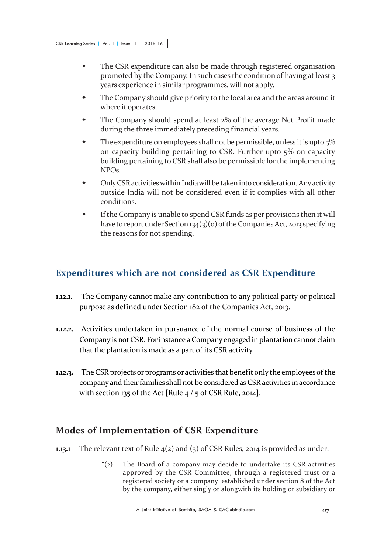- The CSR expenditure can also be made through registered organisation promoted by the Company. In such cases the condition of having at least 3 years experience in similar programmes, will not apply.
- The Company should give priority to the local area and the areas around it where it operates.
- The Company should spend at least 2% of the average Net Profit made during the three immediately preceding financial years.
- The expenditure on employees shall not be permissible, unless it is upto 5% on capacity building pertaining to CSR. Further upto 5% on capacity building pertaining to CSR shall also be permissible for the implementing NPOs.
- Only CSR activities within India will be taken into consideration. Any activity outside India will not be considered even if it complies with all other conditions.
- If the Company is unable to spend CSR funds as per provisions then it will have to report under Section 134(3)(0) of the Companies Act, 2013 specifying the reasons for not spending.

## **Expenditures which are not considered as CSR Expenditure**

- **1.12.1.** The Company cannot make any contribution to any political party or political purpose as defined under Section 182 of the Companies Act, 2013.
- **1.12.2.** Activities undertaken in pursuance of the normal course of business of the Company is not CSR. For instance a Company engaged in plantation cannot claim that the plantation is made as a part of its CSR activity.
- **1.12.3.** The CSR projects or programs or activities that benefit only the employees of the company and their families shall not be considered as CSR activities in accordance with section 135 of the Act [Rule  $4/5$  of CSR Rule, 2014].

#### **Modes of Implementation of CSR Expenditure**

- **1.13.1** The relevant text of Rule  $4(2)$  and  $(3)$  of CSR Rules, 2014 is provided as under:
	- "(2) The Board of a company may decide to undertake its CSR activities approved by the CSR Committee, through a registered trust or a registered society or a company established under section 8 of the Act by the company, either singly or alongwith its holding or subsidiary or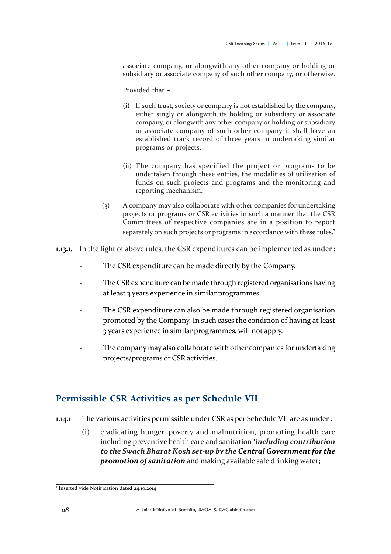associate company, or alongwith any other company or holding or subsidiary or associate company of such other company, or otherwise.

Provided that –

- (i) If such trust, society or company is not established by the company, either singly or alongwith its holding or subsidiary or associate company, or alongwith any other company or holding or subsidiary or associate company of such other company it shall have an established track record of three years in undertaking similar programs or projects.
- (ii) The company has specif ied the project or programs to be undertaken through these entries, the modalities of utilization of funds on such projects and programs and the monitoring and reporting mechanism.
- (3) A company may also collaborate with other companies for undertaking projects or programs or CSR activities in such a manner that the CSR Committees of respective companies are in a position to report separately on such projects or programs in accordance with these rules."
- **1.13.1.** In the light of above rules, the CSR expenditures can be implemented as under :
	- The CSR expenditure can be made directly by the Company.
	- The CSR expenditure can be made through registered organisations having at least 3 years experience in similar programmes.
	- The CSR expenditure can also be made through registered organisation promoted by the Company. In such cases the condition of having at least 3 years experience in similar programmes, will not apply.
	- The company may also collaborate with other companies for undertaking projects/programs or CSR activities.

#### **Permissible CSR Activities as per Schedule VII**

- **1.14.1** The various activities permissible under CSR as per Schedule VII are as under :
	- (i) eradicating hunger, poverty and malnutrition, promoting health care including preventive health care and sanitation *<sup>1</sup> including contribution to the Swach Bharat Kosh set-up by the Central Government for the promotion of sanitation* and making available safe drinking water;

**<sup>1</sup>** Inserted vide Notification dated 24.10.2014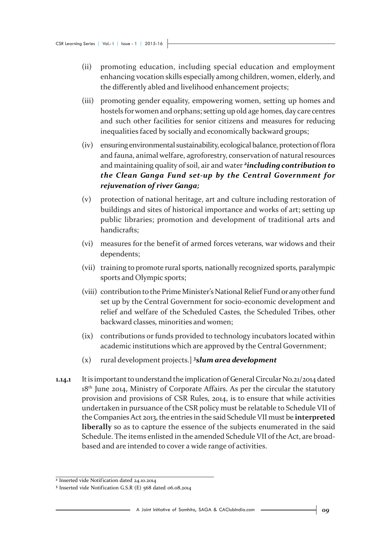- (ii) promoting education, including special education and employment enhancing vocation skills especially among children, women, elderly, and the differently abled and livelihood enhancement projects;
- (iii) promoting gender equality, empowering women, setting up homes and hostels for women and orphans; setting up old age homes, day care centres and such other facilities for senior citizens and measures for reducing inequalities faced by socially and economically backward groups;
- (iv) ensuring environmental sustainability, ecological balance, protection of flora and fauna, animal welfare, agroforestry, conservation of natural resources and maintaining quality of soil, air and water *2including contribution to the Clean Ganga Fund set-up by the Central Government for rejuvenation of river Ganga;*
- (v) protection of national heritage, art and culture including restoration of buildings and sites of historical importance and works of art; setting up public libraries; promotion and development of traditional arts and handicrafts;
- (vi) measures for the benefit of armed forces veterans, war widows and their dependents;
- (vii) training to promote rural sports, nationally recognized sports, paralympic sports and Olympic sports;
- (viii) contribution to the Prime Minister's National Relief Fund or any other fund set up by the Central Government for socio-economic development and relief and welfare of the Scheduled Castes, the Scheduled Tribes, other backward classes, minorities and women;
- (ix) contributions or funds provided to technology incubators located within academic institutions which are approved by the Central Government;
- (x) rural development projects.] *<sup>3</sup> slum area development*
- **1.14.1** It is important to understand the implication of General Circular No.21/2014 dated 18<sup>th</sup> June 2014, Ministry of Corporate Affairs. As per the circular the statutory provision and provisions of CSR Rules, 2014, is to ensure that while activities undertaken in pursuance of the CSR policy must be relatable to Schedule VII of the Companies Act 2013, the entries in the said Schedule VII must be **interpreted liberally** so as to capture the essence of the subjects enumerated in the said Schedule. The items enlisted in the amended Schedule VII of the Act, are broadbased and are intended to cover a wide range of activities.

**<sup>2</sup>** Inserted vide Notification dated 24.10.2014

**<sup>3</sup>** Inserted vide Notification G.S.R (E) 568 dated 06.08.2014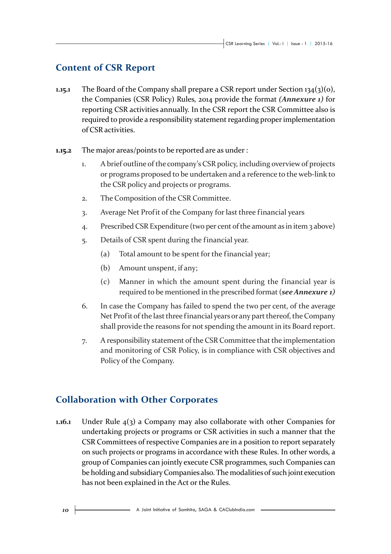# **Content of CSR Report**

- **1.15.1** The Board of the Company shall prepare a CSR report under Section 134(3)(o), the Companies (CSR Policy) Rules, 2014 provide the format *(Annexure 1)* for reporting CSR activities annually. In the CSR report the CSR Committee also is required to provide a responsibility statement regarding proper implementation of CSR activities.
- **1.15.2** The major areas/points to be reported are as under :
	- 1. A brief outline of the company's CSR policy, including overview of projects or programs proposed to be undertaken and a reference to the web-link to the CSR policy and projects or programs.
	- 2. The Composition of the CSR Committee.
	- 3. Average Net Profit of the Company for last three financial years
	- 4. Prescribed CSR Expenditure (two per cent of the amount as in item 3 above)
	- 5. Details of CSR spent during the financial year.
		- (a) Total amount to be spent for the financial year;
		- (b) Amount unspent, if any;
		- (c) Manner in which the amount spent during the financial year is required to be mentioned in the prescribed format (*see Annexure 1)*
	- 6. In case the Company has failed to spend the two per cent, of the average Net Profit of the last three financial years or any part thereof, the Company shall provide the reasons for not spending the amount in its Board report.
	- 7. A responsibility statement of the CSR Committee that the implementation and monitoring of CSR Policy, is in compliance with CSR objectives and Policy of the Company.

#### **Collaboration with Other Corporates**

**1.16.1** Under Rule 4(3) a Company may also collaborate with other Companies for undertaking projects or programs or CSR activities in such a manner that the CSR Committees of respective Companies are in a position to report separately on such projects or programs in accordance with these Rules. In other words, a group of Companies can jointly execute CSR programmes, such Companies can be holding and subsidiary Companies also. The modalities of such joint execution has not been explained in the Act or the Rules.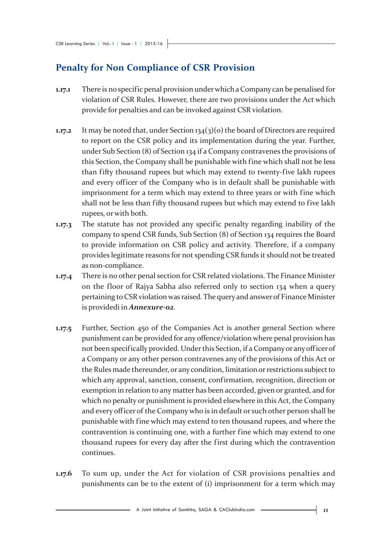# **Penalty for Non Compliance of CSR Provision**

- **1.17.1** There is no specific penal provision under which a Company can be penalised for violation of CSR Rules. However, there are two provisions under the Act which provide for penalties and can be invoked against CSR violation.
- **1.17.2** It may be noted that, under Section 134(3)(o) the board of Directors are required to report on the CSR policy and its implementation during the year. Further, under Sub Section (8) of Section 134 if a Company contravenes the provisions of this Section, the Company shall be punishable with fine which shall not be less than fifty thousand rupees but which may extend to twenty-five lakh rupees and every officer of the Company who is in default shall be punishable with imprisonment for a term which may extend to three years or with fine which shall not be less than fifty thousand rupees but which may extend to five lakh rupees, or with both.
- **1.17.3** The statute has not provided any specific penalty regarding inability of the company to spend CSR funds, Sub Section (8) of Section 134 requires the Board to provide information on CSR policy and activity. Therefore, if a company provides legitimate reasons for not spending CSR funds it should not be treated as non-compliance.
- **1.17.4** There is no other penal section for CSR related violations. The Finance Minister on the floor of Rajya Sabha also referred only to section 134 when a query pertaining to CSR violation was raised. The query and answer of Finance Minister is providedi in *Annexure-02*.
- **1.17.5** Further, Section 450 of the Companies Act is another general Section where punishment can be provided for any offence/violation where penal provision has not been specifically provided. Under this Section, if a Company or any officer of a Company or any other person contravenes any of the provisions of this Act or the Rules made thereunder, or any condition, limitation or restrictions subject to which any approval, sanction, consent, confirmation, recognition, direction or exemption in relation to any matter has been accorded, given or granted, and for which no penalty or punishment is provided elsewhere in this Act, the Company and every officer of the Company who is in default or such other person shall be punishable with fine which may extend to ten thousand rupees, and where the contravention is continuing one, with a further fine which may extend to one thousand rupees for every day after the first during which the contravention continues.
- **1.17.6** To sum up, under the Act for violation of CSR provisions penalties and punishments can be to the extent of (i) imprisonment for a term which may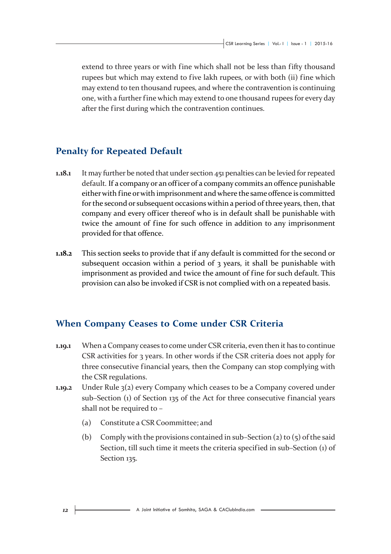extend to three years or with fine which shall not be less than fifty thousand rupees but which may extend to five lakh rupees, or with both (ii) fine which may extend to ten thousand rupees, and where the contravention is continuing one, with a further fine which may extend to one thousand rupees for every day after the first during which the contravention continues.

# **Penalty for Repeated Default**

- **1.18.1** It may further be noted that under section 451 penalties can be levied for repeated default. If a company or an officer of a company commits an offence punishable either with fine or with imprisonment and where the same offence is committed for the second or subsequent occasions within a period of three years, then, that company and every officer thereof who is in default shall be punishable with twice the amount of fine for such offence in addition to any imprisonment provided for that offence.
- **1.18.2** This section seeks to provide that if any default is committed for the second or subsequent occasion within a period of  $\alpha$  years, it shall be punishable with imprisonment as provided and twice the amount of fine for such default. This provision can also be invoked if CSR is not complied with on a repeated basis.

#### **When Company Ceases to Come under CSR Criteria**

- **1.19.1** When a Company ceases to come under CSR criteria, even then it has to continue CSR activities for 3 years. In other words if the CSR criteria does not apply for three consecutive financial years, then the Company can stop complying with the CSR regulations.
- **1.19.2** Under Rule 3(2) every Company which ceases to be a Company covered under sub–Section (1) of Section 135 of the Act for three consecutive financial years shall not be required to –
	- (a) Constitute a CSR Coommittee; and
	- (b) Comply with the provisions contained in sub–Section (2) to (5) of the said Section, till such time it meets the criteria specif ied in sub–Section (1) of Section 135.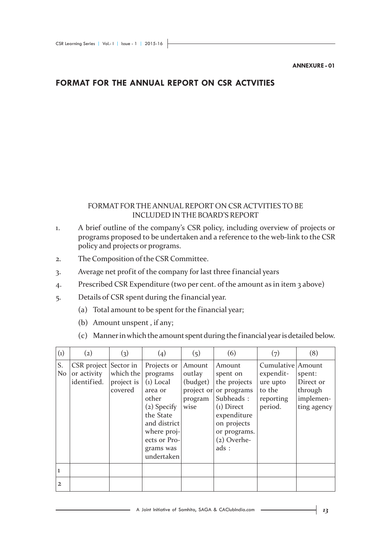#### **ANNEXURE - 01**

#### **FORMAT FOR THE ANNUAL REPORT ON CSR ACTVITIES**

#### FORMAT FOR THE ANNUAL REPORT ON CSR ACTVITIES TO BE INCLUDED IN THE BOARD'S REPORT

- 1. A brief outline of the company's CSR policy, including overview of projects or programs proposed to be undertaken and a reference to the web-link to the CSR policy and projects or programs.
- 2. The Composition of the CSR Committee.
- 3. Average net profit of the company for last three financial years
- 4. Prescribed CSR Expenditure (two per cent. of the amount as in item 3 above)
- 5. Details of CSR spent during the financial year.
	- (a) Total amount to be spent for the financial year;
	- (b) Amount unspent , if any;
	- (c) Manner in which the amount spent during the financial year is detailed below.

| $\left( 1\right)$ | $\left( 2\right)$                           | $\left( 3\right)$                               | $\left( 4 \right)$                                                                                                                                               | (5)                                                           | (6)                                                                                                                                                   | (7)                                                                          | (8)                                                        |
|-------------------|---------------------------------------------|-------------------------------------------------|------------------------------------------------------------------------------------------------------------------------------------------------------------------|---------------------------------------------------------------|-------------------------------------------------------------------------------------------------------------------------------------------------------|------------------------------------------------------------------------------|------------------------------------------------------------|
| S.<br>No          | $CSR$ project<br>or activity<br>identified. | Sector in<br>which the<br>project is<br>covered | Projects or<br>programs<br>$(i)$ Local<br>area or<br>other<br>(2) Specify<br>the State<br>and district<br>where proj-<br>ects or Pro-<br>grams was<br>undertaken | Amount<br>outlay<br>(budget)<br>project or<br>program<br>wise | Amount<br>spent on<br>the projects<br>or programs<br>Subheads:<br>$(i)$ Direct<br>expenditure<br>on projects<br>or programs.<br>$(z)$ Overhe-<br>ads: | Cumulative Amount<br>expendit-<br>ure upto<br>to the<br>reporting<br>period. | spent:<br>Direct or<br>through<br>implemen-<br>ting agency |
| $\mathbf{1}$      |                                             |                                                 |                                                                                                                                                                  |                                                               |                                                                                                                                                       |                                                                              |                                                            |
| $\mathbf{2}$      |                                             |                                                 |                                                                                                                                                                  |                                                               |                                                                                                                                                       |                                                                              |                                                            |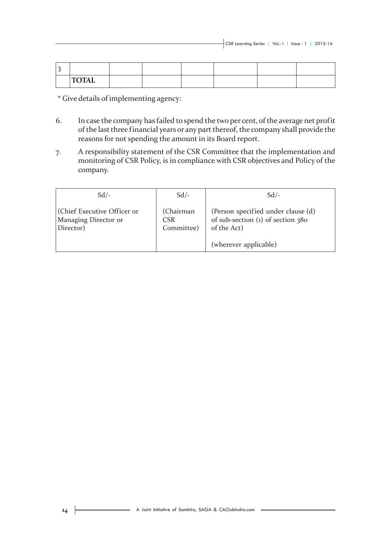| <b>TOTAL</b> |  |  |  |
|--------------|--|--|--|

\* Give details of implementing agency:

- 6. In case the company has failed to spend the two per cent, of the average net profit of the last three financial years or any part thereof, the company shall provide the reasons for not spending the amount in its Board report.
- 7. A responsibility statement of the CSR Committee that the implementation and monitoring of CSR Policy, is in compliance with CSR objectives and Policy of the company.

| $Sd$ /-                                                          | $Sd$ /-                                     | $Sd$ /-                                                                                  |  |  |
|------------------------------------------------------------------|---------------------------------------------|------------------------------------------------------------------------------------------|--|--|
| (Chief Executive Officer or<br>Managing Director or<br>Director) | (Chairman<br>CSR <sup>1</sup><br>Committee) | (Person specified under clause (d)<br>of sub-section $(1)$ of section 380<br>of the Act) |  |  |
|                                                                  |                                             | (wherever applicable)                                                                    |  |  |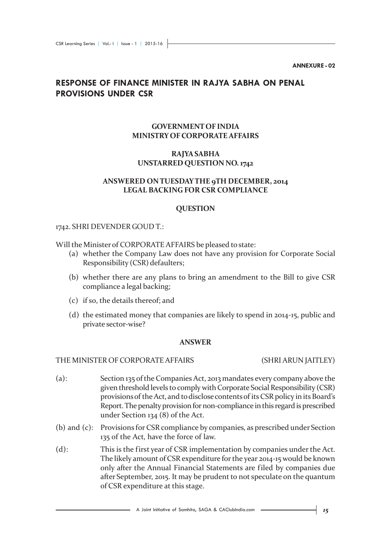**ANNEXURE - 02**

#### **RESPONSE OF FINANCE MINISTER IN RAJYA SABHA ON PENAL PROVISIONS UNDER CSR**

#### **GOVERNMENT OF INDIA MINISTRY OF CORPORATE AFFAIRS**

#### **RAJYA SABHA UNSTARRED QUESTION NO. 1742**

#### **ANSWERED ON TUESDAY THE 9TH DECEMBER, 2014 LEGAL BACKING FOR CSR COMPLIANCE**

#### **QUESTION**

#### 1742. SHRI DEVENDER GOUD T.:

Will the Minister of CORPORATE AFFAIRS be pleased to state:

- (a) whether the Company Law does not have any provision for Corporate Social Responsibility (CSR) defaulters;
- (b) whether there are any plans to bring an amendment to the Bill to give CSR compliance a legal backing;
- (c) if so, the details thereof; and
- (d) the estimated money that companies are likely to spend in 2014-15, public and private sector-wise?

#### **ANSWER**

#### THE MINISTER OF CORPORATE AFFAIRS (SHRI ARUN JAITLEY)

- (a): Section 135 of the Companies Act, 2013 mandates every company above the given threshold levels to comply with Corporate Social Responsibility (CSR) provisions of the Act, and to disclose contents of its CSR policy in its Board's Report. The penalty provision for non-compliance in this regard is prescribed under Section 134 (8) of the Act.
- (b) and (c): Provisions for CSR compliance by companies, as prescribed under Section 135 of the Act, have the force of law.
- (d): This is the first year of CSR implementation by companies under the Act. The likely amount of CSR expenditure for the year 2014-15 would be known only after the Annual Financial Statements are filed by companies due after September, 2015. It may be prudent to not speculate on the quantum of CSR expenditure at this stage.